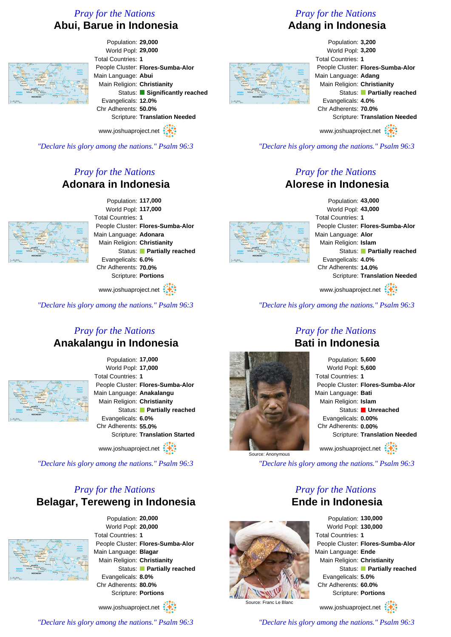# *Pray for the Nations* **Abui, Barue in Indonesia**



Population: **29,000** World Popl: **29,000** Total Countries: **1** People Cluster: **Flores-Sumba-Alor** Main Language: **Abui** Main Religion: **Christianity** Status: **Significantly reached** Evangelicals: **12.0%** Chr Adherents: **50.0%** Scripture: **Translation Needed**

www.joshuaproject.net

*"Declare his glory among the nations." Psalm 96:3*

# *Pray for the Nations* **Adonara in Indonesia**



Population: **117,000** World Popl: **117,000** Total Countries: **1** People Cluster: **Flores-Sumba-Alor** Main Language: **Adonara** Main Religion: **Christianity** Status: **Partially reached** Evangelicals: **6.0%** Chr Adherents: **70.0%** Scripture: **Portions**

www.joshuaproject.net

*"Declare his glory among the nations." Psalm 96:3*

#### *Pray for the Nations* **Anakalangu in Indonesia**



Population: **17,000** World Popl: **17,000** Total Countries: **1** People Cluster: **Flores-Sumba-Alor** Main Language: **Anakalangu** Main Religion: **Christianity** Status: **Partially reached** Evangelicals: **6.0%** Chr Adherents: **55.0%** Scripture: **Translation Started**

www.joshuaproject.net

*"Declare his glory among the nations." Psalm 96:3*

# *Pray for the Nations* **Belagar, Tereweng in Indonesia**



Population: **20,000** World Popl: **20,000** Total Countries: **1** People Cluster: **Flores-Sumba-Alor** Main Language: **Blagar** Main Religion: **Christianity** Status: **Partially reached** Evangelicals: **8.0%** Chr Adherents: **80.0%** Scripture: **Portions**

www.joshuaproject.net

*"Declare his glory among the nations." Psalm 96:3*

# *Pray for the Nations* **Adang in Indonesia**

Population: **3,200** World Popl: **3,200** Total Countries: **1** People Cluster: **Flores-Sumba-Alor** Main Language: **Adang** Main Religion: **Christianity** Status: **Partially reached** Evangelicals: **4.0%** Chr Adherents: **70.0%** Scripture: **Translation Needed** www.joshuaproject.net

*"Declare his glory among the nations." Psalm 96:3*

#### *Pray for the Nations* **Alorese in Indonesia**



Population: **43,000** World Popl: **43,000** Total Countries: **1** People Cluster: **Flores-Sumba-Alor** Main Language: **Alor** Main Religion: **Islam** Status: **Partially reached** Evangelicals: **4.0%** Chr Adherents: **14.0%** Scripture: **Translation Needed**

www.joshuaproject.net

*"Declare his glory among the nations." Psalm 96:3*

# Source: Anonymous

Population: **5,600** World Popl: **5,600** Total Countries: **1** People Cluster: **Flores-Sumba-Alor** Main Language: **Bati** Main Religion: **Islam** Status: **Unreached** Evangelicals: **0.00%** Chr Adherents: **0.00%** Scripture: **Translation Needed** www.joshuaproject.net

*"Declare his glory among the nations." Psalm 96:3*

### *Pray for the Nations* **Ende in Indonesia**



World Popl: **130,000** Total Countries: **1** People Cluster: **Flores-Sumba-Alor** Main Language: **Ende** Main Religion: **Christianity** Status: **Partially reached** Evangelicals: **5.0%** Chr Adherents: **60.0%** Scripture: **Portions**

Population: **130,000**

www.joshuaproject.net

*"Declare his glory among the nations." Psalm 96:3*

*Pray for the Nations* **Bati in Indonesia**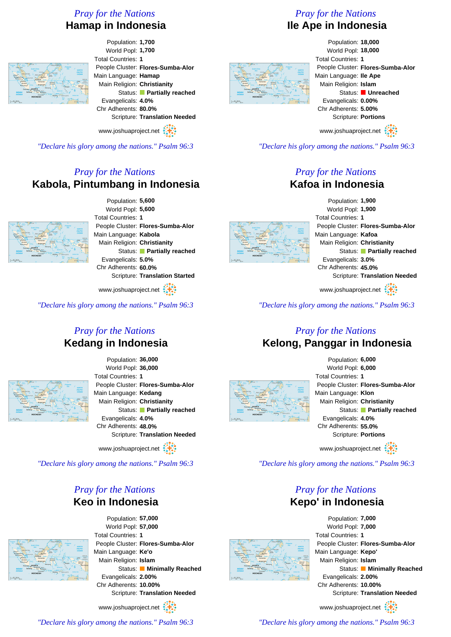# *Pray for the Nations* **Hamap in Indonesia**



Population: **1,700** World Popl: **1,700** Total Countries: **1** People Cluster: **Flores-Sumba-Alor** Main Language: **Hamap** Main Religion: **Christianity** Status: **Partially reached** Evangelicals: **4.0%** Chr Adherents: **80.0%** Scripture: **Translation Needed**

www.joshuaproject.net

*"Declare his glory among the nations." Psalm 96:3*

# *Pray for the Nations* **Kabola, Pintumbang in Indonesia**



Population: **5,600** World Popl: **5,600** Total Countries: **1** People Cluster: **Flores-Sumba-Alor** Main Language: **Kabola** Main Religion: **Christianity** Status: **Partially reached** Evangelicals: **5.0%** Chr Adherents: **60.0%** Scripture: **Translation Started**

www.joshuaproject.net

*"Declare his glory among the nations." Psalm 96:3*

#### *Pray for the Nations* **Kedang in Indonesia**



Population: **36,000** World Popl: **36,000** Total Countries: **1** People Cluster: **Flores-Sumba-Alor** Main Language: **Kedang** Main Religion: **Christianity** Status: **Partially reached** Evangelicals: **4.0%** Chr Adherents: **48.0%** Scripture: **Translation Needed**

www.joshuaproject.net

*"Declare his glory among the nations." Psalm 96:3*

#### *Pray for the Nations* **Keo in Indonesia**



Population: **57,000** World Popl: **57,000** Total Countries: **1** People Cluster: **Flores-Sumba-Alor** Main Language: **Ke'o** Main Religion: **Islam** Status: **Minimally Reached** Evangelicals: **2.00%** Chr Adherents: **10.00%** Scripture: **Translation Needed**

www.joshuaproject.net

*"Declare his glory among the nations." Psalm 96:3*

# *Pray for the Nations* **Ile Ape in Indonesia**

Population: **18,000** World Popl: **18,000** Total Countries: **1** People Cluster: **Flores-Sumba-Alor** Main Language: **Ile Ape** Main Religion: **Islam** Status: **Unreached** Evangelicals: **0.00%** Chr Adherents: **5.00%** Scripture: **Portions** www.joshuaproject.net

*"Declare his glory among the nations." Psalm 96:3*

#### *Pray for the Nations* **Kafoa in Indonesia**



Population: **1,900** World Popl: **1,900** Total Countries: **1** People Cluster: **Flores-Sumba-Alor** Main Language: **Kafoa** Main Religion: **Christianity** Status: **Partially reached** Evangelicals: **3.0%** Chr Adherents: **45.0%** Scripture: **Translation Needed**

www.joshuaproject.net

*"Declare his glory among the nations." Psalm 96:3*

# *Pray for the Nations* **Kelong, Panggar in Indonesia**



Population: **6,000** World Popl: **6,000** Total Countries: **1** People Cluster: **Flores-Sumba-Alor** Main Language: **Klon** Main Religion: **Christianity** Status: **Partially reached** Evangelicals: **4.0%** Chr Adherents: **55.0%** Scripture: **Portions** www.joshuaproject.net

*"Declare his glory among the nations." Psalm 96:3*

### *Pray for the Nations* **Kepo' in Indonesia**



Population: **7,000** World Popl: **7,000** Total Countries: **1** People Cluster: **Flores-Sumba-Alor** Main Language: **Kepo'** Main Religion: **Islam** Status: **Minimally Reached** Evangelicals: **2.00%** Chr Adherents: **10.00%** Scripture: **Translation Needed** www.joshuaproject.net

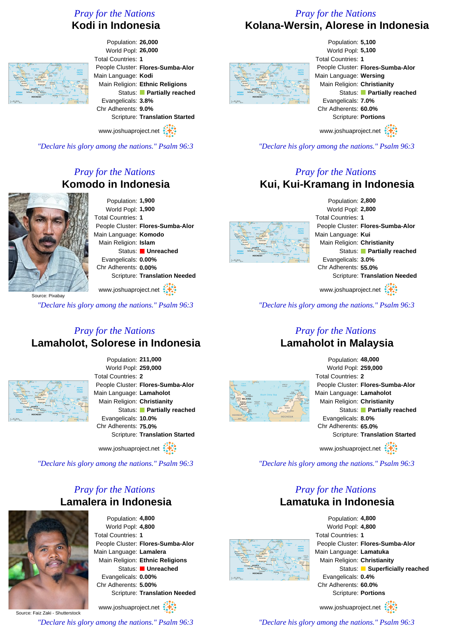# *Pray for the Nations* **Kodi in Indonesia**

### *Pray for the Nations* **Kolana-Wersin, Alorese in Indonesia**



Population: **26,000** World Popl: **26,000** Total Countries: **1** People Cluster: **Flores-Sumba-Alor** Main Language: **Kodi** Main Religion: **Ethnic Religions** Status: **Partially reached** Evangelicals: **3.8%** Chr Adherents: **9.0%** Scripture: **Translation Started**

www.joshuaproject.net

*"Declare his glory among the nations." Psalm 96:3*

# *Pray for the Nations* **Komodo in Indonesia**



Population: **1,900** World Popl: **1,900** Total Countries: **1** People Cluster: **Flores-Sumba-Alor** Main Language: **Komodo** Main Religion: **Islam** Status: **Unreached** Evangelicals: **0.00%** Chr Adherents: **0.00%** Scripture: **Translation Needed**

www.joshuaproject.net

*"Declare his glory among the nations." Psalm 96:3*

#### *Pray for the Nations* **Lamaholot, Solorese in Indonesia**



Population: **211,000** World Popl: **259,000** Total Countries: **2** People Cluster: **Flores-Sumba-Alor** Main Language: **Lamaholot** Main Religion: **Christianity** Status: **Partially reached** Evangelicals: **10.0%** Chr Adherents: **75.0%** Scripture: **Translation Started**

www.joshuaproject.net

*"Declare his glory among the nations." Psalm 96:3*

# *Pray for the Nations* **Lamalera in Indonesia**



Population: **4,800** World Popl: **4,800** Total Countries: **1** People Cluster: **Flores-Sumba-Alor** Main Language: **Lamalera** Main Religion: **Ethnic Religions** Status: **Unreached** Evangelicals: **0.00%** Chr Adherents: **5.00%** Scripture: **Translation Needed**

Source: Faiz Zaki - Shutterstock www.joshuaproject.net *"Declare his glory among the nations." Psalm 96:3*



Population: **5,100** World Popl: **5,100** Total Countries: **1** People Cluster: **Flores-Sumba-Alor** Main Language: **Wersing** Main Religion: **Christianity** Status: **Partially reached** Evangelicals: **7.0%** Chr Adherents: **60.0%** Scripture: **Portions**

www.joshuaproject.net

*"Declare his glory among the nations." Psalm 96:3*

## *Pray for the Nations* **Kui, Kui-Kramang in Indonesia**



Population: **2,800** World Popl: **2,800** Total Countries: **1** People Cluster: **Flores-Sumba-Alor** Main Language: **Kui** Main Religion: **Christianity** Status: **Partially reached** Evangelicals: **3.0%** Chr Adherents: **55.0%** Scripture: **Translation Needed**

www.joshuaproject.net

*"Declare his glory among the nations." Psalm 96:3*

#### *Pray for the Nations* **Lamaholot in Malaysia**



| Population: 48,000                |
|-----------------------------------|
| World Popl: 259,000               |
| <b>Total Countries: 2</b>         |
| People Cluster: Flores-Sumba-Alor |
| Main Language: Lamaholot          |
| Main Religion: Christianity       |
| Status: Partially reached         |
| Evangelicals: 8.0%                |
| Chr Adherents: 65.0%              |
| Scripture: Translation Started    |
| www.joshuaproject.net             |

*"Declare his glory among the nations." Psalm 96:3*

#### *Pray for the Nations* **Lamatuka in Indonesia**



Population: **4,800** World Popl: **4,800** Total Countries: **1** People Cluster: **Flores-Sumba-Alor** Main Language: **Lamatuka** Main Religion: **Christianity** Status: **Superficially reached** Evangelicals: **0.4%** Chr Adherents: **60.0%** Scripture: **Portions** www.joshuaproject.net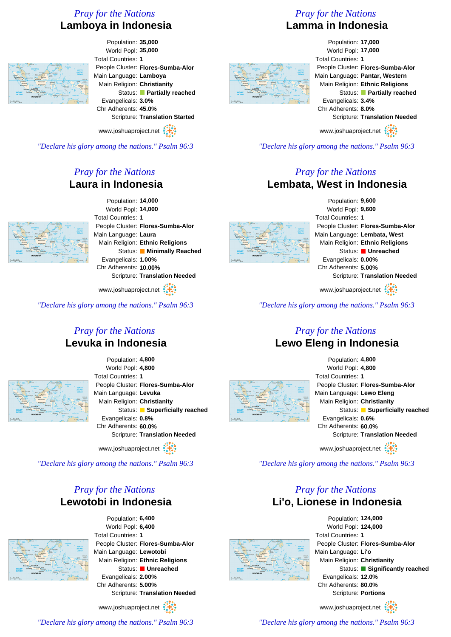# *Pray for the Nations* **Lamboya in Indonesia**



Population: **35,000** World Popl: **35,000** Total Countries: **1** People Cluster: **Flores-Sumba-Alor** Main Language: **Lamboya** Main Religion: **Christianity** Status: **Partially reached** Evangelicals: **3.0%** Chr Adherents: **45.0%** Scripture: **Translation Started**

www.joshuaproject.net

*"Declare his glory among the nations." Psalm 96:3*

# *Pray for the Nations* **Laura in Indonesia**



Population: **14,000** World Popl: **14,000** Total Countries: **1** People Cluster: **Flores-Sumba-Alor** Main Language: **Laura** Main Religion: **Ethnic Religions** Status: **Minimally Reached** Evangelicals: **1.00%** Chr Adherents: **10.00%** Scripture: **Translation Needed**

www.joshuaproject.net :

*"Declare his glory among the nations." Psalm 96:3*

#### *Pray for the Nations* **Levuka in Indonesia**



Population: **4,800** World Popl: **4,800** Total Countries: **1** People Cluster: **Flores-Sumba-Alor** Main Language: **Levuka** Main Religion: **Christianity** Status: **Superficially reached** Evangelicals: **0.8%** Chr Adherents: **60.0%** Scripture: **Translation Needed**

www.joshuaproject.net

*"Declare his glory among the nations." Psalm 96:3*

### *Pray for the Nations* **Lewotobi in Indonesia**



Population: **6,400** World Popl: **6,400** Total Countries: **1** People Cluster: **Flores-Sumba-Alor** Main Language: **Lewotobi** Main Religion: **Ethnic Religions** Status: **Unreached** Evangelicals: **2.00%** Chr Adherents: **5.00%** Scripture: **Translation Needed**

www.joshuaproject.net :

*"Declare his glory among the nations." Psalm 96:3*

# *Pray for the Nations* **Lamma in Indonesia**

#### Population: **17,000** World Popl: **17,000** Total Countries: **1** People Cluster: **Flores-Sumba-Alor** Main Language: **Pantar, Western** Main Religion: **Ethnic Religions** Status: **Partially reached** Evangelicals: **3.4%** Chr Adherents: **8.0%** Scripture: **Translation Needed** www.joshuaproject.net

*"Declare his glory among the nations." Psalm 96:3*

#### *Pray for the Nations* **Lembata, West in Indonesia**



Population: **9,600** World Popl: **9,600** Total Countries: **1** People Cluster: **Flores-Sumba-Alor** Main Language: **Lembata, West** Main Religion: **Ethnic Religions** Status: **Unreached** Evangelicals: **0.00%** Chr Adherents: **5.00%** Scripture: **Translation Needed**

www.joshuaproject.net

*"Declare his glory among the nations." Psalm 96:3*

#### *Pray for the Nations* **Lewo Eleng in Indonesia**



Population: **4,800** World Popl: **4,800** Total Countries: **1** People Cluster: **Flores-Sumba-Alor** Main Language: **Lewo Eleng** Main Religion: **Christianity** Status: **Superficially reached** Evangelicals: **0.6%** Chr Adherents: **60.0%** Scripture: **Translation Needed** www.joshuaproject.net

*"Declare his glory among the nations." Psalm 96:3*

### *Pray for the Nations* **Li'o, Lionese in Indonesia**



Population: **124,000** World Popl: **124,000** Total Countries: **1** People Cluster: **Flores-Sumba-Alor** Main Language: **Li'o** Main Religion: **Christianity** Status: **Significantly reached** Evangelicals: **12.0%** Chr Adherents: **80.0%** Scripture: **Portions**

www.joshuaproject.net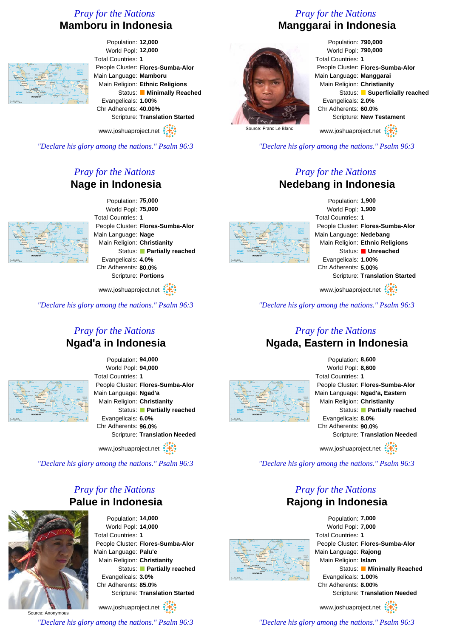# *Pray for the Nations* **Mamboru in Indonesia**



Population: **12,000** World Popl: **12,000** Total Countries: **1** People Cluster: **Flores-Sumba-Alor** Main Language: **Mamboru** Main Religion: **Ethnic Religions** Status: **Minimally Reached** Evangelicals: **1.00%** Chr Adherents: **40.00%** Scripture: **Translation Started**

www.joshuaproject.net

*"Declare his glory among the nations." Psalm 96:3*

# *Pray for the Nations* **Nage in Indonesia**



Population: **75,000** World Popl: **75,000** Total Countries: **1** People Cluster: **Flores-Sumba-Alor** Main Language: **Nage** Main Religion: **Christianity** Status: **Partially reached** Evangelicals: **4.0%** Chr Adherents: **80.0%** Scripture: **Portions**

www.joshuaproject.net

*"Declare his glory among the nations." Psalm 96:3*

#### *Pray for the Nations* **Ngad'a in Indonesia**



Population: **94,000** World Popl: **94,000** Total Countries: **1** People Cluster: **Flores-Sumba-Alor** Main Language: **Ngad'a** Main Religion: **Christianity** Status: **Partially reached** Evangelicals: **6.0%** Chr Adherents: **96.0%** Scripture: **Translation Needed**

www.joshuaproject.net

*"Declare his glory among the nations." Psalm 96:3*

#### *Pray for the Nations* **Palue in Indonesia**



Population: **14,000** World Popl: **14,000** Total Countries: **1** People Cluster: **Flores-Sumba-Alor** Main Language: **Palu'e** Main Religion: **Christianity** Status: **Partially reached** Evangelicals: **3.0%** Chr Adherents: **85.0%** Scripture: **Translation Started**

www.joshuaproject.net

*"Declare his glory among the nations." Psalm 96:3*

# *Pray for the Nations* **Manggarai in Indonesia**



World Popl: **790,000** Total Countries: **1** People Cluster: **Flores-Sumba-Alor** Main Language: **Manggarai** Main Religion: **Christianity** Status: **Superficially reached** Evangelicals: **2.0%** Chr Adherents: **60.0%** Scripture: **New Testament** www.joshuaproject.net

Source: Franc Le Blanc

*"Declare his glory among the nations." Psalm 96:3*

#### *Pray for the Nations* **Nedebang in Indonesia**



Population: **1,900** World Popl: **1,900** Total Countries: **1** People Cluster: **Flores-Sumba-Alor** Main Language: **Nedebang** Main Religion: **Ethnic Religions** Status: **Unreached** Evangelicals: **1.00%** Chr Adherents: **5.00%** Scripture: **Translation Started**

www.joshuaproject.net

*"Declare his glory among the nations." Psalm 96:3*

#### *Pray for the Nations* **Ngada, Eastern in Indonesia**



Population: **8,600** World Popl: **8,600** Total Countries: **1** People Cluster: **Flores-Sumba-Alor** Main Language: **Ngad'a, Eastern** Main Religion: **Christianity** Status: **Partially reached** Evangelicals: **8.0%** Chr Adherents: **90.0%** Scripture: **Translation Needed** www.joshuaproject.net

*"Declare his glory among the nations." Psalm 96:3*

#### *Pray for the Nations* **Rajong in Indonesia**



Population: **7,000** World Popl: **7,000** Total Countries: **1** People Cluster: **Flores-Sumba-Alor** Main Language: **Rajong** Main Religion: **Islam** Status: **Minimally Reached** Evangelicals: **1.00%** Chr Adherents: **8.00%** Scripture: **Translation Needed** www.joshuaproject.net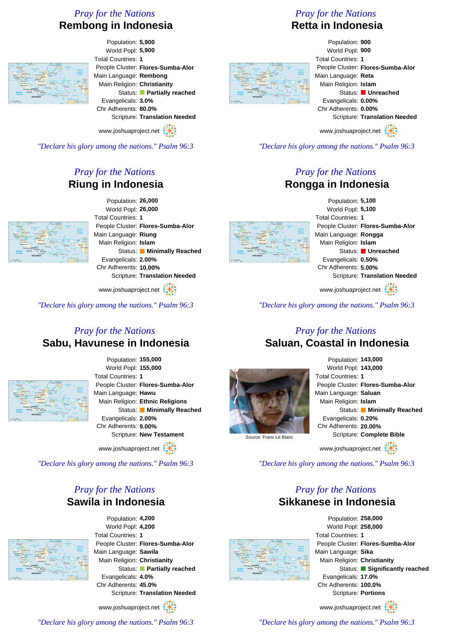# *Pray for the Nations* **Rembong in Indonesia**



Population: **5,900** World Popl: **5,900** Total Countries: **1** People Cluster: **Flores-Sumba-Alor** Main Language: **Rembong** Main Religion: **Christianity** Status: **Partially reached** Evangelicals: **3.0%** Chr Adherents: **80.0%** Scripture: **Translation Needed**

www.joshuaproject.net

*"Declare his glory among the nations." Psalm 96:3*

# *Pray for the Nations* **Riung in Indonesia**



Population: **26,000** World Popl: **26,000** Total Countries: **1** People Cluster: **Flores-Sumba-Alor** Main Language: **Riung** Main Religion: **Islam** Status: **Minimally Reached** Evangelicals: **2.00%** Chr Adherents: **10.00%** Scripture: **Translation Needed**

www.joshuaproject.net :

*"Declare his glory among the nations." Psalm 96:3*

#### *Pray for the Nations* **Sabu, Havunese in Indonesia**



Population: **155,000** World Popl: **155,000** Total Countries: **1** People Cluster: **Flores-Sumba-Alor** Main Language: **Hawu** Main Religion: **Ethnic Religions** Status: **Minimally Reached** Evangelicals: **2.00%** Chr Adherents: **9.00%** Scripture: **New Testament**

www.joshuaproject.net

*"Declare his glory among the nations." Psalm 96:3*

#### *Pray for the Nations* **Sawila in Indonesia**



Population: **4,200** World Popl: **4,200** Total Countries: **1** People Cluster: **Flores-Sumba-Alor** Main Language: **Sawila** Main Religion: **Christianity** Status: **Partially reached** Evangelicals: **4.0%** Chr Adherents: **45.0%** Scripture: **Translation Needed**

www.joshuaproject.net :

*"Declare his glory among the nations." Psalm 96:3*

# *Pray for the Nations*

# **Retta in Indonesia**

Population: **900** World Popl: **900** Total Countries: **1** People Cluster: **Flores-Sumba-Alor** Main Language: **Reta** Main Religion: **Islam** Status: **Unreached** Evangelicals: **0.00%** Chr Adherents: **0.00%** Scripture: **Translation Needed** www.joshuaproject.net

*"Declare his glory among the nations." Psalm 96:3*

## *Pray for the Nations* **Rongga in Indonesia**



Population: **5,100** World Popl: **5,100** Total Countries: **1** People Cluster: **Flores-Sumba-Alor** Main Language: **Rongga** Main Religion: **Islam** Status: **Unreached** Evangelicals: **0.50%** Chr Adherents: **5.00%** Scripture: **Translation Needed**

www.joshuaproject.net

*"Declare his glory among the nations." Psalm 96:3*

#### *Pray for the Nations* **Saluan, Coastal in Indonesia**





*"Declare his glory among the nations." Psalm 96:3*

#### *Pray for the Nations* **Sikkanese in Indonesia**



Population: **258,000** World Popl: **258,000** Total Countries: **1** People Cluster: **Flores-Sumba-Alor** Main Language: **Sika** Main Religion: **Christianity** Status: **Significantly reached** Evangelicals: **17.0%** Chr Adherents: **100.0%** Scripture: **Portions**

www.joshuaproject.net